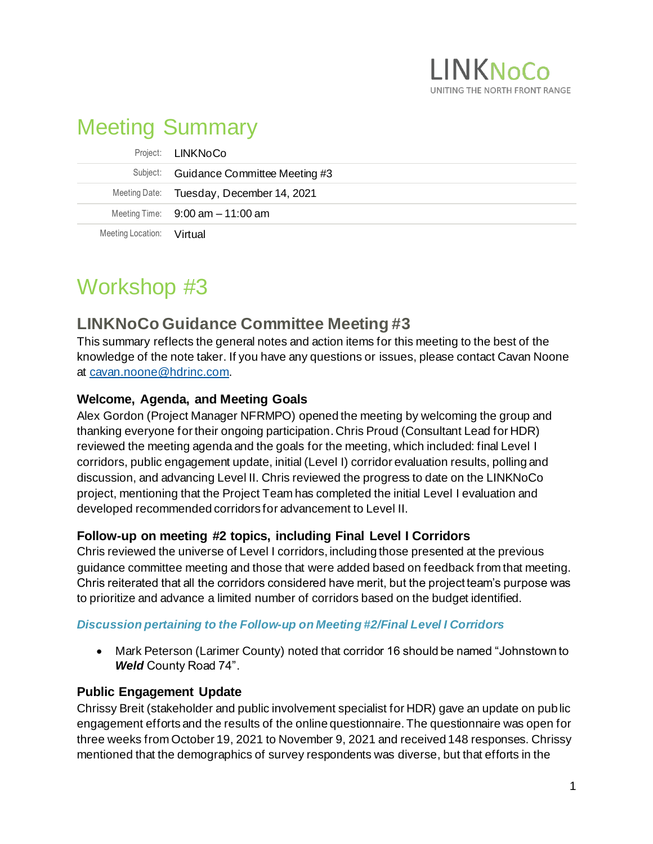

# Meeting Summary

|                           | Project: <b>LINKNoCo</b>                 |
|---------------------------|------------------------------------------|
|                           | Subject: Guidance Committee Meeting #3   |
|                           | Meeting Date: Tuesday, December 14, 2021 |
|                           | Meeting Time: $9:00$ am $-11:00$ am      |
| Meeting Location: Virtual |                                          |

# Workshop #3

# **LINKNoCo Guidance Committee Meeting #3**

This summary reflects the general notes and action items for this meeting to the best of the knowledge of the note taker. If you have any questions or issues, please contact Cavan Noone at [cavan.noone@hdrinc.com](mailto:cavan.noone@hdrinc.com).

# **Welcome, Agenda, and Meeting Goals**

Alex Gordon (Project Manager NFRMPO) opened the meeting by welcoming the group and thanking everyone for their ongoing participation. Chris Proud (Consultant Lead for HDR) reviewed the meeting agenda and the goals for the meeting, which included: final Level I corridors, public engagement update, initial (Level I) corridor evaluation results, polling and discussion, and advancing Level II. Chris reviewed the progress to date on the LINKNoCo project, mentioning that the Project Team has completed the initial Level I evaluation and developed recommended corridors for advancement to Level II.

# **Follow-up on meeting #2 topics, including Final Level I Corridors**

Chris reviewed the universe of Level I corridors, including those presented at the previous guidance committee meeting and those that were added based on feedback from that meeting. Chris reiterated that all the corridors considered have merit, but the project team's purpose was to prioritize and advance a limited number of corridors based on the budget identified.

# *Discussion pertaining to the Follow-up on Meeting #2/Final Level I Corridors*

• Mark Peterson (Larimer County) noted that corridor 16 should be named "Johnstown to *Weld* County Road 74".

# **Public Engagement Update**

Chrissy Breit (stakeholder and public involvement specialist for HDR) gave an update on public engagement efforts and the results of the online questionnaire. The questionnaire was open for three weeks from October 19, 2021 to November 9, 2021 and received 148 responses. Chrissy mentioned that the demographics of survey respondents was diverse, but that efforts in the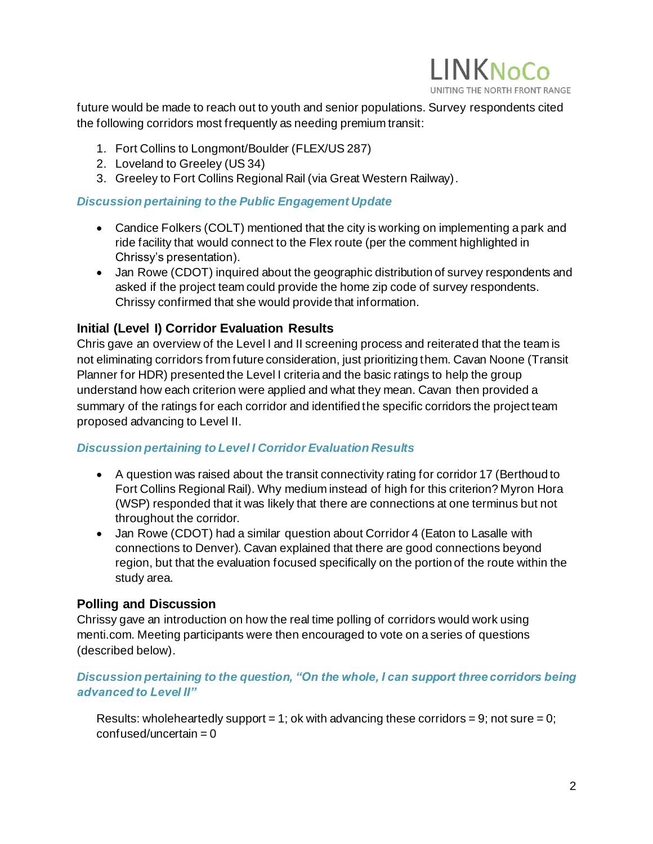

future would be made to reach out to youth and senior populations. Survey respondents cited the following corridors most frequently as needing premium transit:

- 1. Fort Collins to Longmont/Boulder (FLEX/US 287)
- 2. Loveland to Greeley (US 34)
- 3. Greeley to Fort Collins Regional Rail (via Great Western Railway).

#### *Discussion pertaining to the Public Engagement Update*

- Candice Folkers (COLT) mentioned that the city is working on implementing a park and ride facility that would connect to the Flex route (per the comment highlighted in Chrissy's presentation).
- Jan Rowe (CDOT) inquired about the geographic distribution of survey respondents and asked if the project team could provide the home zip code of survey respondents. Chrissy confirmed that she would provide that information.

### **Initial (Level I) Corridor Evaluation Results**

Chris gave an overview of the Level I and II screening process and reiterated that the team is not eliminating corridors from future consideration, just prioritizing them. Cavan Noone (Transit Planner for HDR) presented the Level I criteria and the basic ratings to help the group understand how each criterion were applied and what they mean. Cavan then provided a summary of the ratings for each corridor and identified the specific corridors the project team proposed advancing to Level II.

#### *Discussion pertaining to Level I Corridor Evaluation Results*

- A question was raised about the transit connectivity rating for corridor 17 (Berthoud to Fort Collins Regional Rail). Why medium instead of high for this criterion? Myron Hora (WSP) responded that it was likely that there are connections at one terminus but not throughout the corridor.
- Jan Rowe (CDOT) had a similar question about Corridor 4 (Eaton to Lasalle with connections to Denver). Cavan explained that there are good connections beyond region, but that the evaluation focused specifically on the portion of the route within the study area.

#### **Polling and Discussion**

Chrissy gave an introduction on how the real time polling of corridors would work using menti.com. Meeting participants were then encouraged to vote on a series of questions (described below).

#### *Discussion pertaining to the question, "On the whole, I can support three corridors being advanced to Level II"*

Results: wholeheartedly support = 1; ok with advancing these corridors = 9; not sure = 0;  $confused/uncertain = 0$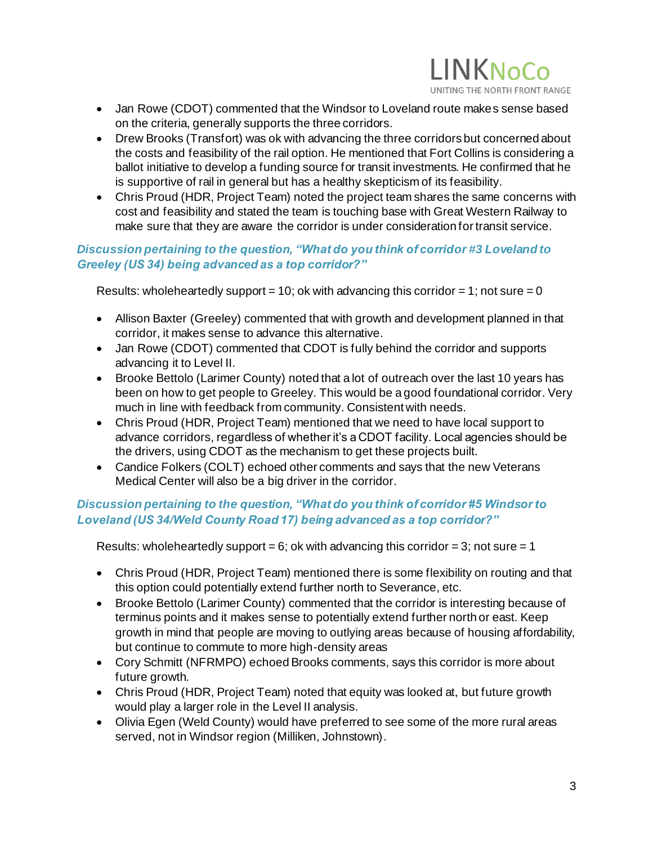

- Jan Rowe (CDOT) commented that the Windsor to Loveland route makes sense based on the criteria, generally supports the three corridors.
- Drew Brooks (Transfort) was ok with advancing the three corridors but concerned about the costs and feasibility of the rail option. He mentioned that Fort Collins is considering a ballot initiative to develop a funding source for transit investments. He confirmed that he is supportive of rail in general but has a healthy skepticism of its feasibility.
- Chris Proud (HDR, Project Team) noted the project team shares the same concerns with cost and feasibility and stated the team is touching base with Great Western Railway to make sure that they are aware the corridor is under consideration for transit service.

#### *Discussion pertaining to the question, "What do you think of corridor #3 Loveland to Greeley (US 34) being advanced as a top corridor?"*

Results: wholeheartedly support = 10; ok with advancing this corridor = 1; not sure = 0

- Allison Baxter (Greeley) commented that with growth and development planned in that corridor, it makes sense to advance this alternative.
- Jan Rowe (CDOT) commented that CDOT is fully behind the corridor and supports advancing it to Level II.
- Brooke Bettolo (Larimer County) noted that a lot of outreach over the last 10 years has been on how to get people to Greeley. This would be a good foundational corridor. Very much in line with feedback from community. Consistent with needs.
- Chris Proud (HDR, Project Team) mentioned that we need to have local support to advance corridors, regardless of whether it's a CDOT facility. Local agencies should be the drivers, using CDOT as the mechanism to get these projects built.
- Candice Folkers (COLT) echoed other comments and says that the new Veterans Medical Center will also be a big driver in the corridor.

# *Discussion pertaining to the question, "What do you think of corridor #5 Windsor to Loveland (US 34/Weld County Road 17) being advanced as a top corridor?"*

Results: whole heartedly support = 6; ok with advancing this corridor = 3; not sure = 1

- Chris Proud (HDR, Project Team) mentioned there is some flexibility on routing and that this option could potentially extend further north to Severance, etc.
- Brooke Bettolo (Larimer County) commented that the corridor is interesting because of terminus points and it makes sense to potentially extend further north or east. Keep growth in mind that people are moving to outlying areas because of housing affordability, but continue to commute to more high-density areas
- Cory Schmitt (NFRMPO) echoed Brooks comments, says this corridor is more about future growth.
- Chris Proud (HDR, Project Team) noted that equity was looked at, but future growth would play a larger role in the Level II analysis.
- Olivia Egen (Weld County) would have preferred to see some of the more rural areas served, not in Windsor region (Milliken, Johnstown).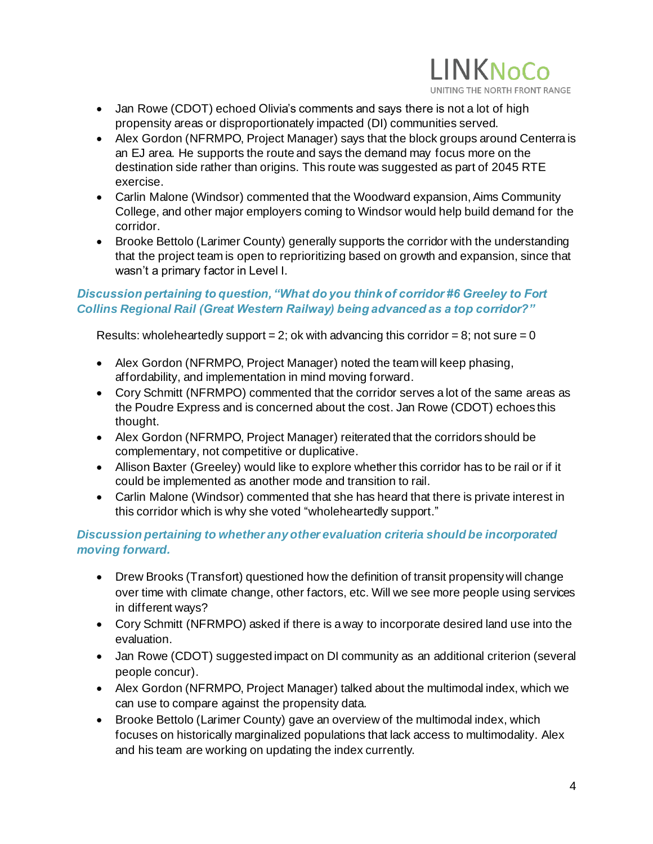

- Jan Rowe (CDOT) echoed Olivia's comments and says there is not a lot of high propensity areas or disproportionately impacted (DI) communities served.
- Alex Gordon (NFRMPO, Project Manager) says that the block groups around Centerra is an EJ area. He supports the route and says the demand may focus more on the destination side rather than origins. This route was suggested as part of 2045 RTE exercise.
- Carlin Malone (Windsor) commented that the Woodward expansion, Aims Community College, and other major employers coming to Windsor would help build demand for the corridor.
- Brooke Bettolo (Larimer County) generally supports the corridor with the understanding that the project team is open to reprioritizing based on growth and expansion, since that wasn't a primary factor in Level I.

#### *Discussion pertaining to question, "What do you think of corridor #6 Greeley to Fort Collins Regional Rail (Great Western Railway) being advanced as a top corridor?"*

Results: wholeheartedly support = 2; ok with advancing this corridor = 8; not sure = 0

- Alex Gordon (NFRMPO, Project Manager) noted the team will keep phasing, affordability, and implementation in mind moving forward.
- Cory Schmitt (NFRMPO) commented that the corridor serves a lot of the same areas as the Poudre Express and is concerned about the cost. Jan Rowe (CDOT) echoes this thought.
- Alex Gordon (NFRMPO, Project Manager) reiterated that the corridors should be complementary, not competitive or duplicative.
- Allison Baxter (Greeley) would like to explore whether this corridor has to be rail or if it could be implemented as another mode and transition to rail.
- Carlin Malone (Windsor) commented that she has heard that there is private interest in this corridor which is why she voted "wholeheartedly support."

### *Discussion pertaining to whether any other evaluation criteria should be incorporated moving forward.*

- Drew Brooks (Transfort) questioned how the definition of transit propensity will change over time with climate change, other factors, etc. Will we see more people using services in different ways?
- Cory Schmitt (NFRMPO) asked if there is a way to incorporate desired land use into the evaluation.
- Jan Rowe (CDOT) suggested impact on DI community as an additional criterion (several people concur).
- Alex Gordon (NFRMPO, Project Manager) talked about the multimodal index, which we can use to compare against the propensity data.
- Brooke Bettolo (Larimer County) gave an overview of the multimodal index, which focuses on historically marginalized populations that lack access to multimodality. Alex and his team are working on updating the index currently.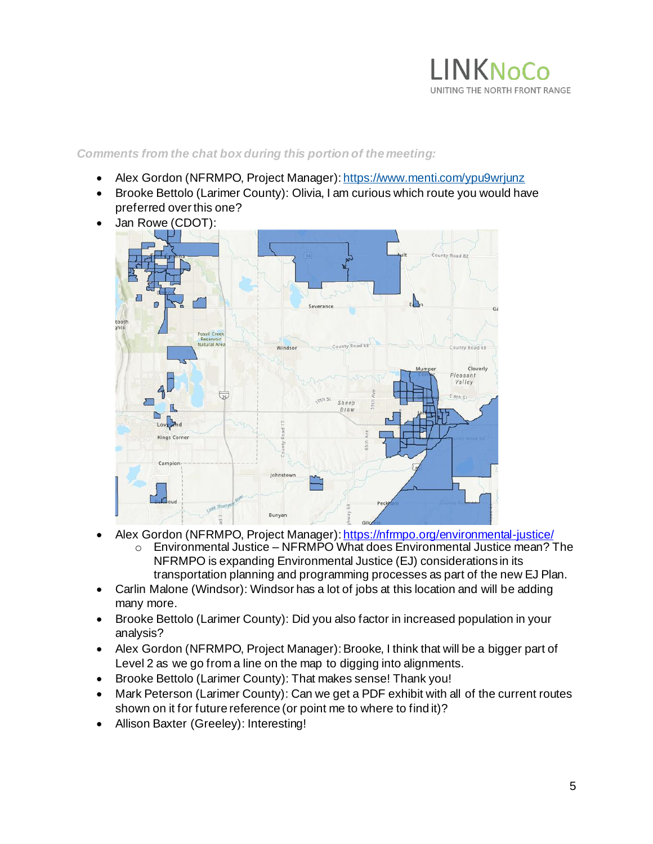

#### *Comments from the chat box during this portion of the meeting:*

- Alex Gordon (NFRMPO, Project Manager)[: https://www.menti.com/ypu9wrjunz](https://www.menti.com/ypu9wrjunz)
- Brooke Bettolo (Larimer County): Olivia, I am curious which route you would have preferred over this one?
- Jan Rowe (CDOT):



- Alex Gordon (NFRMPO, Project Manager)[: https://nfrmpo.org/environmental-justice/](https://nfrmpo.org/environmental-justice/)
	- o Environmental Justice NFRMPO What does Environmental Justice mean? The NFRMPO is expanding Environmental Justice (EJ) considerations in its transportation planning and programming processes as part of the new EJ Plan.
- Carlin Malone (Windsor): Windsor has a lot of jobs at this location and will be adding many more.
- Brooke Bettolo (Larimer County): Did you also factor in increased population in your analysis?
- Alex Gordon (NFRMPO, Project Manager): Brooke, I think that will be a bigger part of Level 2 as we go from a line on the map to digging into alignments.
- Brooke Bettolo (Larimer County): That makes sense! Thank you!
- Mark Peterson (Larimer County): Can we get a PDF exhibit with all of the current routes shown on it for future reference (or point me to where to find it)?
- Allison Baxter (Greeley): Interesting!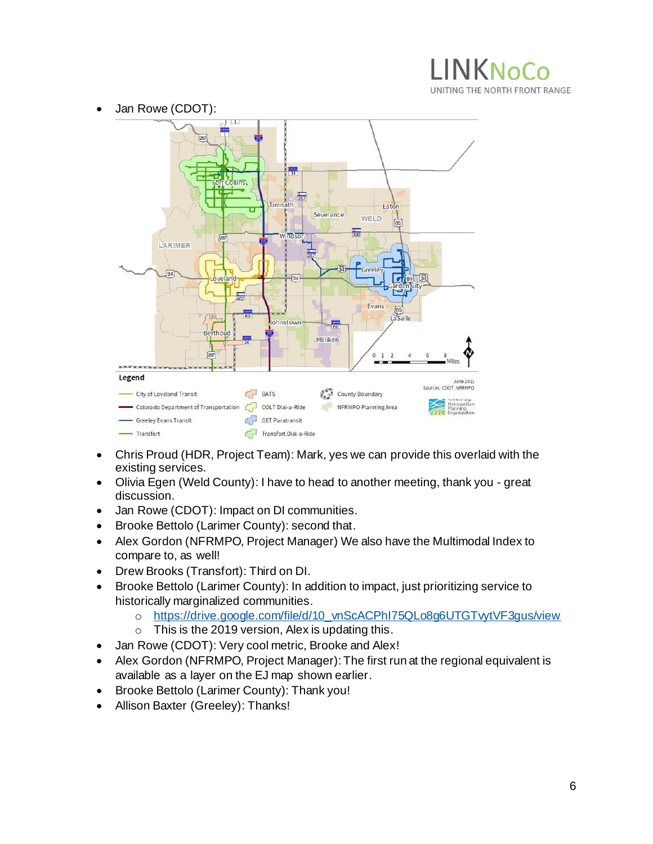# **INKNoCo** UNITING THE NORTH FRONT RANGE



- Chris Proud (HDR, Project Team): Mark, yes we can provide this overlaid with the existing services.
- Olivia Egen (Weld County): I have to head to another meeting, thank you great discussion.
- Jan Rowe (CDOT): Impact on DI communities.
- Brooke Bettolo (Larimer County): second that.
- Alex Gordon (NFRMPO, Project Manager) We also have the Multimodal Index to compare to, as well!
- Drew Brooks (Transfort): Third on DI.
- Brooke Bettolo (Larimer County): In addition to impact, just prioritizing service to historically marginalized communities.
	- o [https://drive.google.com/file/d/10\\_vnScACPhI75QLo8g6UTGTvytVF3gus/view](https://drive.google.com/file/d/10_vnScACPhI75QLo8g6UTGTvytVF3gus/view)
	- o This is the 2019 version, Alex is updating this.
- Jan Rowe (CDOT): Very cool metric, Brooke and Alex!
- Alex Gordon (NFRMPO, Project Manager): The first run at the regional equivalent is available as a layer on the EJ map shown earlier.
- Brooke Bettolo (Larimer County): Thank you!
- Allison Baxter (Greeley): Thanks!